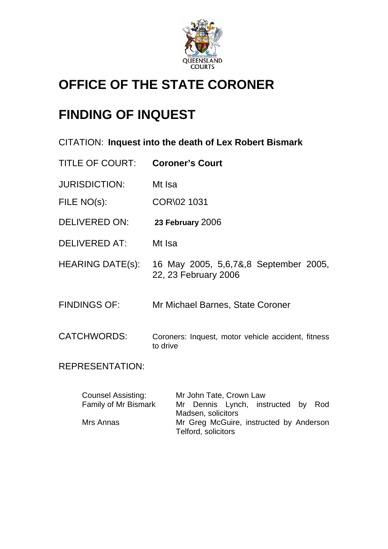

# **OFFICE OF THE STATE CORONER**

# **FINDING OF INQUEST**

|  | CITATION: Inquest into the death of Lex Robert Bismark |  |  |  |
|--|--------------------------------------------------------|--|--|--|
|--|--------------------------------------------------------|--|--|--|

| <b>TITLE OF COURT:</b> | <b>Coroner's Court</b> |
|------------------------|------------------------|
|------------------------|------------------------|

- JURISDICTION: Mt Isa
- FILE NO(s): COR\02 1031
- DELIVERED ON: **23 February** 2006
- DELIVERED AT: Mt Isa
- HEARING DATE(s): 16 May 2005, 5,6,7&,8 September 2005, 22, 23 February 2006
- FINDINGS OF: Mr Michael Barnes, State Coroner
- CATCHWORDS: Coroners: Inquest, motor vehicle accident, fitness to drive

REPRESENTATION:

| <b>Counsel Assisting:</b> | Mr John Tate, Crown Law                 |
|---------------------------|-----------------------------------------|
| Family of Mr Bismark      | Mr Dennis Lynch, instructed by Rod      |
|                           | Madsen, solicitors                      |
| Mrs Annas                 | Mr Greg McGuire, instructed by Anderson |
|                           | Telford, solicitors                     |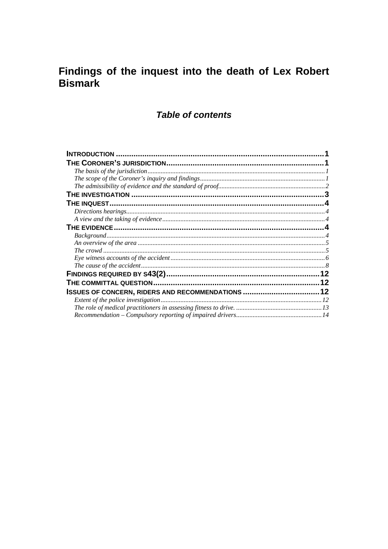## Findings of the inquest into the death of Lex Robert **Bismark**

## **Table of contents**

| ISSUES OF CONCERN, RIDERS AND RECOMMENDATIONS  12 |  |
|---------------------------------------------------|--|
|                                                   |  |
|                                                   |  |
|                                                   |  |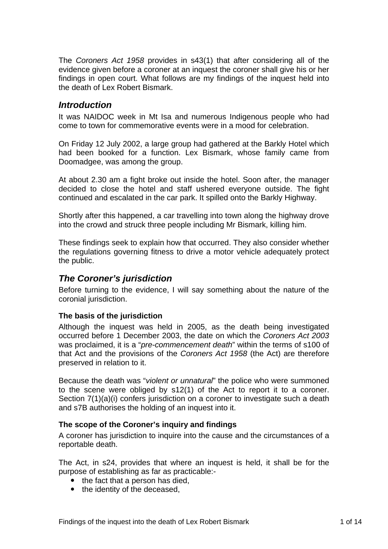<span id="page-2-0"></span>The *Coroners Act 1958* provides in s43(1) that after considering all of the evidence given before a coroner at an inquest the coroner shall give his or her findings in open court. What follows are my findings of the inquest held into the death of Lex Robert Bismark.

## *Introduction*

It was NAIDOC week in Mt Isa and numerous Indigenous people who had come to town for commemorative events were in a mood for celebration.

On Friday 12 July 2002, a large group had gathered at the Barkly Hotel which had been booked for a function. Lex Bismark, whose family came from Doomadgee, was among the group.

At about 2.30 am a fight broke out inside the hotel. Soon after, the manager decided to close the hotel and staff ushered everyone outside. The fight continued and escalated in the car park. It spilled onto the Barkly Highway.

Shortly after this happened, a car travelling into town along the highway drove into the crowd and struck three people including Mr Bismark, killing him.

These findings seek to explain how that occurred. They also consider whether the regulations governing fitness to drive a motor vehicle adequately protect the public.

## *The Coroner's jurisdiction*

Before turning to the evidence, I will say something about the nature of the coronial jurisdiction.

#### **The basis of the jurisdiction**

Although the inquest was held in 2005, as the death being investigated occurred before 1 December 2003, the date on which the *Coroners Act 2003* was proclaimed, it is a "*pre-commencement death*" within the terms of s100 of that Act and the provisions of the *Coroners Act 1958* (the Act) are therefore preserved in relation to it.

Because the death was "*violent or unnatural*" the police who were summoned to the scene were obliged by s12(1) of the Act to report it to a coroner. Section 7(1)(a)(i) confers jurisdiction on a coroner to investigate such a death and s7B authorises the holding of an inquest into it.

#### **The scope of the Coroner's inquiry and findings**

A coroner has jurisdiction to inquire into the cause and the circumstances of a reportable death.

The Act, in s24, provides that where an inquest is held, it shall be for the purpose of establishing as far as practicable:-

- $\bullet$  the fact that a person has died,
- the identity of the deceased,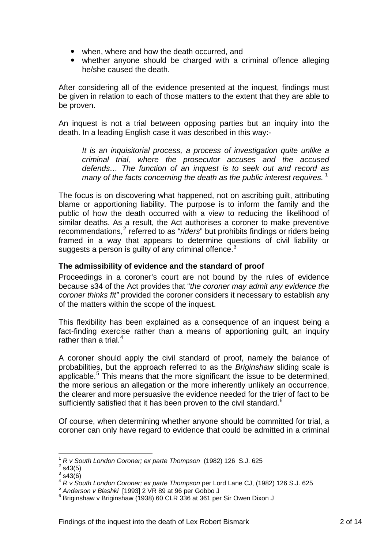- <span id="page-3-0"></span>• when, where and how the death occurred, and
- whether anyone should be charged with a criminal offence alleging he/she caused the death.

After considering all of the evidence presented at the inquest, findings must be given in relation to each of those matters to the extent that they are able to be proven.

An inquest is not a trial between opposing parties but an inquiry into the death. In a leading English case it was described in this way:-

*It is an inquisitorial process, a process of investigation quite unlike a criminal trial, where the prosecutor accuses and the accused defends… The function of an inquest is to seek out and record as many of the facts concerning the death as the public interest requires.* [1](#page-3-1)

The focus is on discovering what happened, not on ascribing guilt, attributing blame or apportioning liability. The purpose is to inform the family and the public of how the death occurred with a view to reducing the likelihood of similar deaths. As a result, the Act authorises a coroner to make preventive recommendations,<sup>[2](#page-3-2)</sup> referred to as "*riders*" but prohibits findings or riders being framed in a way that appears to determine questions of civil liability or suggests a person is guilty of any criminal offence. $3$ 

#### **The admissibility of evidence and the standard of proof**

Proceedings in a coroner's court are not bound by the rules of evidence because s34 of the Act provides that "*the coroner may admit any evidence the coroner thinks fit"* provided the coroner considers it necessary to establish any of the matters within the scope of the inquest.

This flexibility has been explained as a consequence of an inquest being a fact-finding exercise rather than a means of apportioning guilt, an inquiry rather than a trial. $4$ 

A coroner should apply the civil standard of proof, namely the balance of probabilities, but the approach referred to as the *Briginshaw* sliding scale is applicable.<sup>[5](#page-3-5)</sup> This means that the more significant the issue to be determined, the more serious an allegation or the more inherently unlikely an occurrence, the clearer and more persuasive the evidence needed for the trier of fact to be sufficiently satisfied that it has been proven to the civil standard.<sup>[6](#page-3-6)</sup>

Of course, when determining whether anyone should be committed for trial, a coroner can only have regard to evidence that could be admitted in a criminal

<sup>1</sup> *R v South London Coroner; ex parte Thompson* (1982) 126 S.J. 625 2

<span id="page-3-2"></span><span id="page-3-1"></span> $2$  s43(5)

 $3$  s43(6)

<span id="page-3-4"></span><span id="page-3-3"></span><sup>&</sup>lt;sup>4</sup> *R v South London Coroner; ex parte Thompson* per Lord Lane CJ, (1982) 126 S.J. 625<br>
<sup>5</sup> Anderson v Blashki [1993] 2 VR 89 at 96 per Gobbo J

<span id="page-3-6"></span><span id="page-3-5"></span> $6$  Briginshaw v Briginshaw (1938) 60 CLR 336 at 361 per Sir Owen Dixon J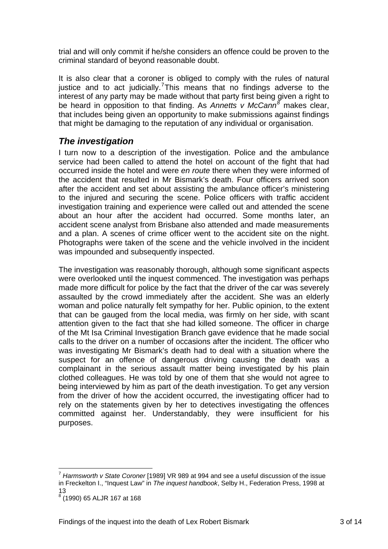<span id="page-4-0"></span>trial and will only commit if he/she considers an offence could be proven to the criminal standard of beyond reasonable doubt.

It is also clear that a coroner is obliged to comply with the rules of natural justice and to act judicially.<sup>[7](#page-4-1)</sup>This means that no findings adverse to the interest of any party may be made without that party first being given a right to be heard in opposition to that finding. As *Annetts v McCann[8](#page-4-2)* makes clear, that includes being given an opportunity to make submissions against findings that might be damaging to the reputation of any individual or organisation.

## *The investigation*

I turn now to a description of the investigation. Police and the ambulance service had been called to attend the hotel on account of the fight that had occurred inside the hotel and were *en route* there when they were informed of the accident that resulted in Mr Bismark's death. Four officers arrived soon after the accident and set about assisting the ambulance officer's ministering to the injured and securing the scene. Police officers with traffic accident investigation training and experience were called out and attended the scene about an hour after the accident had occurred. Some months later, an accident scene analyst from Brisbane also attended and made measurements and a plan. A scenes of crime officer went to the accident site on the night. Photographs were taken of the scene and the vehicle involved in the incident was impounded and subsequently inspected.

The investigation was reasonably thorough, although some significant aspects were overlooked until the inquest commenced. The investigation was perhaps made more difficult for police by the fact that the driver of the car was severely assaulted by the crowd immediately after the accident. She was an elderly woman and police naturally felt sympathy for her. Public opinion, to the extent that can be gauged from the local media, was firmly on her side, with scant attention given to the fact that she had killed someone. The officer in charge of the Mt Isa Criminal Investigation Branch gave evidence that he made social calls to the driver on a number of occasions after the incident. The officer who was investigating Mr Bismark's death had to deal with a situation where the suspect for an offence of dangerous driving causing the death was a complainant in the serious assault matter being investigated by his plain clothed colleagues. He was told by one of them that she would not agree to being interviewed by him as part of the death investigation. To get any version from the driver of how the accident occurred, the investigating officer had to rely on the statements given by her to detectives investigating the offences committed against her. Understandably, they were insufficient for his purposes.

<span id="page-4-1"></span><sup>7</sup> *Harmsworth v State Coroner* [1989] VR 989 at 994 and see a useful discussion of the issue in Freckelton I., "Inquest Law" in *The inquest handbook*, Selby H., Federation Press, 1998 at 13

<span id="page-4-2"></span><sup>8</sup> (1990) 65 ALJR 167 at 168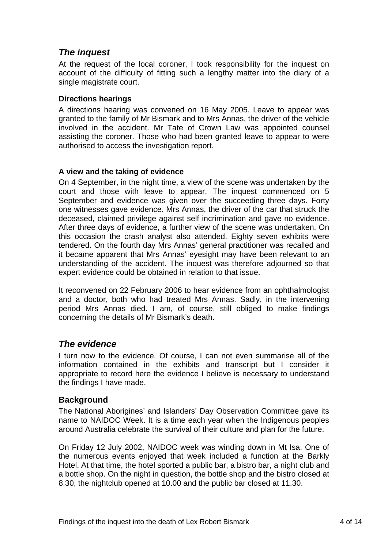## <span id="page-5-0"></span>*The inquest*

At the request of the local coroner, I took responsibility for the inquest on account of the difficulty of fitting such a lengthy matter into the diary of a single magistrate court.

### **Directions hearings**

A directions hearing was convened on 16 May 2005. Leave to appear was granted to the family of Mr Bismark and to Mrs Annas, the driver of the vehicle involved in the accident. Mr Tate of Crown Law was appointed counsel assisting the coroner. Those who had been granted leave to appear to were authorised to access the investigation report.

## **A view and the taking of evidence**

On 4 September, in the night time, a view of the scene was undertaken by the court and those with leave to appear. The inquest commenced on 5 September and evidence was given over the succeeding three days. Forty one witnesses gave evidence. Mrs Annas, the driver of the car that struck the deceased, claimed privilege against self incrimination and gave no evidence. After three days of evidence, a further view of the scene was undertaken. On this occasion the crash analyst also attended. Eighty seven exhibits were tendered. On the fourth day Mrs Annas' general practitioner was recalled and it became apparent that Mrs Annas' eyesight may have been relevant to an understanding of the accident. The inquest was therefore adjourned so that expert evidence could be obtained in relation to that issue.

It reconvened on 22 February 2006 to hear evidence from an ophthalmologist and a doctor, both who had treated Mrs Annas. Sadly, in the intervening period Mrs Annas died. I am, of course, still obliged to make findings concerning the details of Mr Bismark's death.

## *The evidence*

I turn now to the evidence. Of course, I can not even summarise all of the information contained in the exhibits and transcript but I consider it appropriate to record here the evidence I believe is necessary to understand the findings I have made.

## **Background**

The National Aborigines' and Islanders' Day Observation Committee gave its name to NAIDOC Week. It is a time each year when the Indigenous peoples around Australia celebrate the survival of their culture and plan for the future.

On Friday 12 July 2002, NAIDOC week was winding down in Mt Isa. One of the numerous events enjoyed that week included a function at the Barkly Hotel. At that time, the hotel sported a public bar, a bistro bar, a night club and a bottle shop. On the night in question, the bottle shop and the bistro closed at 8.30, the nightclub opened at 10.00 and the public bar closed at 11.30.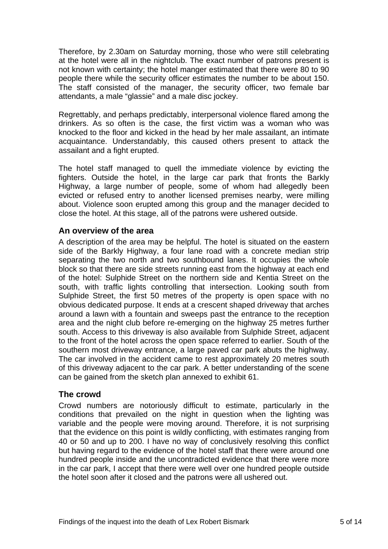<span id="page-6-0"></span>Therefore, by 2.30am on Saturday morning, those who were still celebrating at the hotel were all in the nightclub. The exact number of patrons present is not known with certainty; the hotel manger estimated that there were 80 to 90 people there while the security officer estimates the number to be about 150. The staff consisted of the manager, the security officer, two female bar attendants, a male "glassie" and a male disc jockey.

Regrettably, and perhaps predictably, interpersonal violence flared among the drinkers. As so often is the case, the first victim was a woman who was knocked to the floor and kicked in the head by her male assailant, an intimate acquaintance. Understandably, this caused others present to attack the assailant and a fight erupted.

The hotel staff managed to quell the immediate violence by evicting the fighters. Outside the hotel, in the large car park that fronts the Barkly Highway, a large number of people, some of whom had allegedly been evicted or refused entry to another licensed premises nearby, were milling about. Violence soon erupted among this group and the manager decided to close the hotel. At this stage, all of the patrons were ushered outside.

## **An overview of the area**

A description of the area may be helpful. The hotel is situated on the eastern side of the Barkly Highway, a four lane road with a concrete median strip separating the two north and two southbound lanes. It occupies the whole block so that there are side streets running east from the highway at each end of the hotel: Sulphide Street on the northern side and Kentia Street on the south, with traffic lights controlling that intersection. Looking south from Sulphide Street, the first 50 metres of the property is open space with no obvious dedicated purpose. It ends at a crescent shaped driveway that arches around a lawn with a fountain and sweeps past the entrance to the reception area and the night club before re-emerging on the highway 25 metres further south. Access to this driveway is also available from Sulphide Street, adjacent to the front of the hotel across the open space referred to earlier. South of the southern most driveway entrance, a large paved car park abuts the highway. The car involved in the accident came to rest approximately 20 metres south of this driveway adjacent to the car park. A better understanding of the scene can be gained from the sketch plan annexed to exhibit 61.

## **The crowd**

Crowd numbers are notoriously difficult to estimate, particularly in the conditions that prevailed on the night in question when the lighting was variable and the people were moving around. Therefore, it is not surprising that the evidence on this point is wildly conflicting, with estimates ranging from 40 or 50 and up to 200. I have no way of conclusively resolving this conflict but having regard to the evidence of the hotel staff that there were around one hundred people inside and the uncontradicted evidence that there were more in the car park, I accept that there were well over one hundred people outside the hotel soon after it closed and the patrons were all ushered out.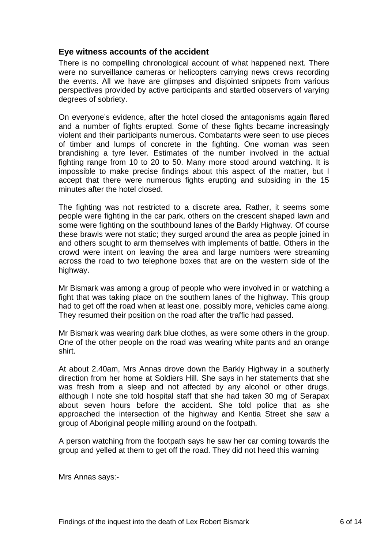## <span id="page-7-0"></span>**Eye witness accounts of the accident**

There is no compelling chronological account of what happened next. There were no surveillance cameras or helicopters carrying news crews recording the events. All we have are glimpses and disjointed snippets from various perspectives provided by active participants and startled observers of varying degrees of sobriety.

On everyone's evidence, after the hotel closed the antagonisms again flared and a number of fights erupted. Some of these fights became increasingly violent and their participants numerous. Combatants were seen to use pieces of timber and lumps of concrete in the fighting. One woman was seen brandishing a tyre lever. Estimates of the number involved in the actual fighting range from 10 to 20 to 50. Many more stood around watching. It is impossible to make precise findings about this aspect of the matter, but I accept that there were numerous fights erupting and subsiding in the 15 minutes after the hotel closed.

The fighting was not restricted to a discrete area. Rather, it seems some people were fighting in the car park, others on the crescent shaped lawn and some were fighting on the southbound lanes of the Barkly Highway. Of course these brawls were not static; they surged around the area as people joined in and others sought to arm themselves with implements of battle. Others in the crowd were intent on leaving the area and large numbers were streaming across the road to two telephone boxes that are on the western side of the highway.

Mr Bismark was among a group of people who were involved in or watching a fight that was taking place on the southern lanes of the highway. This group had to get off the road when at least one, possibly more, vehicles came along. They resumed their position on the road after the traffic had passed.

Mr Bismark was wearing dark blue clothes, as were some others in the group. One of the other people on the road was wearing white pants and an orange shirt.

At about 2.40am, Mrs Annas drove down the Barkly Highway in a southerly direction from her home at Soldiers Hill. She says in her statements that she was fresh from a sleep and not affected by any alcohol or other drugs, although I note she told hospital staff that she had taken 30 mg of Serapax about seven hours before the accident. She told police that as she approached the intersection of the highway and Kentia Street she saw a group of Aboriginal people milling around on the footpath.

A person watching from the footpath says he saw her car coming towards the group and yelled at them to get off the road. They did not heed this warning

Mrs Annas says:-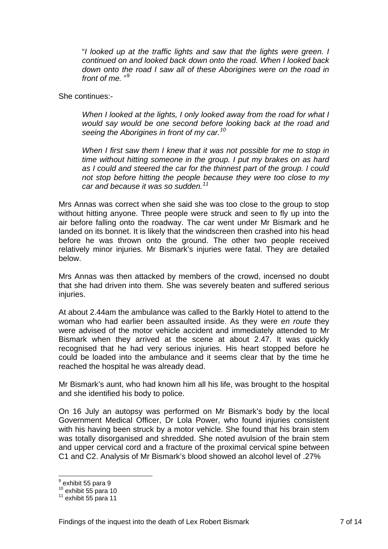"*I looked up at the traffic lights and saw that the lights were green. I continued on and looked back down onto the road. When I looked back down onto the road I saw all of these Aborigines were on the road in*  front of me."<sup>[9](#page-8-0)</sup>

She continues:-

*When I looked at the lights, I only looked away from the road for what I would say would be one second before looking back at the road and seeing the Aborigines in front of my car.[10](#page-8-1)*

*When I first saw them I knew that it was not possible for me to stop in time without hitting someone in the group. I put my brakes on as hard as I could and steered the car for the thinnest part of the group. I could not stop before hitting the people because they were too close to my car and because it was so sudden.[11](#page-8-2)*

Mrs Annas was correct when she said she was too close to the group to stop without hitting anyone. Three people were struck and seen to fly up into the air before falling onto the roadway. The car went under Mr Bismark and he landed on its bonnet. It is likely that the windscreen then crashed into his head before he was thrown onto the ground. The other two people received relatively minor injuries. Mr Bismark's injuries were fatal. They are detailed below.

Mrs Annas was then attacked by members of the crowd, incensed no doubt that she had driven into them. She was severely beaten and suffered serious injuries.

At about 2.44am the ambulance was called to the Barkly Hotel to attend to the woman who had earlier been assaulted inside. As they were *en route* they were advised of the motor vehicle accident and immediately attended to Mr Bismark when they arrived at the scene at about 2.47. It was quickly recognised that he had very serious injuries. His heart stopped before he could be loaded into the ambulance and it seems clear that by the time he reached the hospital he was already dead.

Mr Bismark's aunt, who had known him all his life, was brought to the hospital and she identified his body to police.

On 16 July an autopsy was performed on Mr Bismark's body by the local Government Medical Officer, Dr Lola Power, who found injuries consistent with his having been struck by a motor vehicle. She found that his brain stem was totally disorganised and shredded. She noted avulsion of the brain stem and upper cervical cord and a fracture of the proximal cervical spine between C1 and C2. Analysis of Mr Bismark's blood showed an alcohol level of .27%

<sup>&</sup>lt;sup>9</sup> exhibit 55 para 9

<span id="page-8-2"></span><span id="page-8-1"></span><span id="page-8-0"></span> $\frac{10}{11}$  exhibit 55 para 10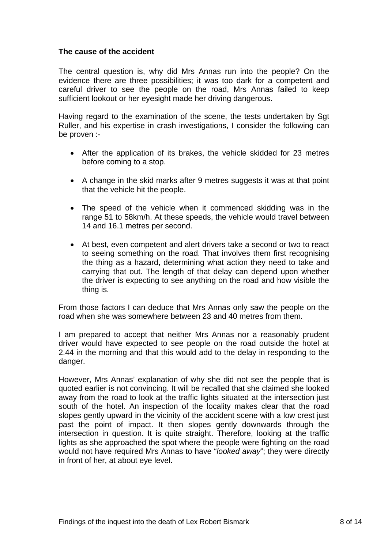#### <span id="page-9-0"></span>**The cause of the accident**

The central question is, why did Mrs Annas run into the people? On the evidence there are three possibilities; it was too dark for a competent and careful driver to see the people on the road, Mrs Annas failed to keep sufficient lookout or her eyesight made her driving dangerous.

Having regard to the examination of the scene, the tests undertaken by Sgt Ruller, and his expertise in crash investigations, I consider the following can be proven :-

- After the application of its brakes, the vehicle skidded for 23 metres before coming to a stop.
- A change in the skid marks after 9 metres suggests it was at that point that the vehicle hit the people.
- The speed of the vehicle when it commenced skidding was in the range 51 to 58km/h. At these speeds, the vehicle would travel between 14 and 16.1 metres per second.
- At best, even competent and alert drivers take a second or two to react to seeing something on the road. That involves them first recognising the thing as a hazard, determining what action they need to take and carrying that out. The length of that delay can depend upon whether the driver is expecting to see anything on the road and how visible the thing is.

From those factors I can deduce that Mrs Annas only saw the people on the road when she was somewhere between 23 and 40 metres from them.

I am prepared to accept that neither Mrs Annas nor a reasonably prudent driver would have expected to see people on the road outside the hotel at 2.44 in the morning and that this would add to the delay in responding to the danger.

However, Mrs Annas' explanation of why she did not see the people that is quoted earlier is not convincing. It will be recalled that she claimed she looked away from the road to look at the traffic lights situated at the intersection just south of the hotel. An inspection of the locality makes clear that the road slopes gently upward in the vicinity of the accident scene with a low crest just past the point of impact. It then slopes gently downwards through the intersection in question. It is quite straight. Therefore, looking at the traffic lights as she approached the spot where the people were fighting on the road would not have required Mrs Annas to have "*looked away*"; they were directly in front of her, at about eye level.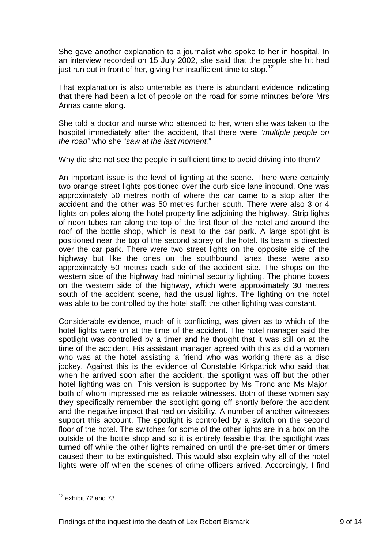She gave another explanation to a journalist who spoke to her in hospital. In an interview recorded on 15 July 2002, she said that the people she hit had just run out in front of her, giving her insufficient time to stop.<sup>[12](#page-10-0)</sup>

That explanation is also untenable as there is abundant evidence indicating that there had been a lot of people on the road for some minutes before Mrs Annas came along.

She told a doctor and nurse who attended to her, when she was taken to the hospital immediately after the accident, that there were "*multiple people on the road"* who she "*saw at the last moment.*"

Why did she not see the people in sufficient time to avoid driving into them?

An important issue is the level of lighting at the scene. There were certainly two orange street lights positioned over the curb side lane inbound. One was approximately 50 metres north of where the car came to a stop after the accident and the other was 50 metres further south. There were also 3 or 4 lights on poles along the hotel property line adjoining the highway. Strip lights of neon tubes ran along the top of the first floor of the hotel and around the roof of the bottle shop, which is next to the car park. A large spotlight is positioned near the top of the second storey of the hotel. Its beam is directed over the car park. There were two street lights on the opposite side of the highway but like the ones on the southbound lanes these were also approximately 50 metres each side of the accident site. The shops on the western side of the highway had minimal security lighting. The phone boxes on the western side of the highway, which were approximately 30 metres south of the accident scene, had the usual lights. The lighting on the hotel was able to be controlled by the hotel staff; the other lighting was constant.

Considerable evidence, much of it conflicting, was given as to which of the hotel lights were on at the time of the accident. The hotel manager said the spotlight was controlled by a timer and he thought that it was still on at the time of the accident. His assistant manager agreed with this as did a woman who was at the hotel assisting a friend who was working there as a disc jockey. Against this is the evidence of Constable Kirkpatrick who said that when he arrived soon after the accident, the spotlight was off but the other hotel lighting was on. This version is supported by Ms Tronc and Ms Major, both of whom impressed me as reliable witnesses. Both of these women say they specifically remember the spotlight going off shortly before the accident and the negative impact that had on visibility. A number of another witnesses support this account. The spotlight is controlled by a switch on the second floor of the hotel. The switches for some of the other lights are in a box on the outside of the bottle shop and so it is entirely feasible that the spotlight was turned off while the other lights remained on until the pre-set timer or timers caused them to be extinguished. This would also explain why all of the hotel lights were off when the scenes of crime officers arrived. Accordingly, I find

<span id="page-10-0"></span> $12$  exhibit 72 and 73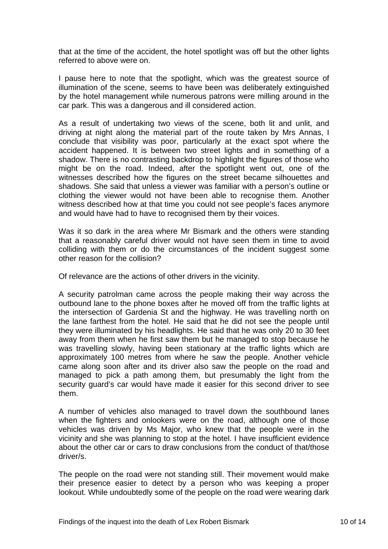that at the time of the accident, the hotel spotlight was off but the other lights referred to above were on.

I pause here to note that the spotlight, which was the greatest source of illumination of the scene, seems to have been was deliberately extinguished by the hotel management while numerous patrons were milling around in the car park. This was a dangerous and ill considered action.

As a result of undertaking two views of the scene, both lit and unlit, and driving at night along the material part of the route taken by Mrs Annas, I conclude that visibility was poor, particularly at the exact spot where the accident happened. It is between two street lights and in something of a shadow. There is no contrasting backdrop to highlight the figures of those who might be on the road. Indeed, after the spotlight went out, one of the witnesses described how the figures on the street became silhouettes and shadows. She said that unless a viewer was familiar with a person's outline or clothing the viewer would not have been able to recognise them. Another witness described how at that time you could not see people's faces anymore and would have had to have to recognised them by their voices.

Was it so dark in the area where Mr Bismark and the others were standing that a reasonably careful driver would not have seen them in time to avoid colliding with them or do the circumstances of the incident suggest some other reason for the collision?

Of relevance are the actions of other drivers in the vicinity.

A security patrolman came across the people making their way across the outbound lane to the phone boxes after he moved off from the traffic lights at the intersection of Gardenia St and the highway. He was travelling north on the lane farthest from the hotel. He said that he did not see the people until they were illuminated by his headlights. He said that he was only 20 to 30 feet away from them when he first saw them but he managed to stop because he was travelling slowly, having been stationary at the traffic lights which are approximately 100 metres from where he saw the people. Another vehicle came along soon after and its driver also saw the people on the road and managed to pick a path among them, but presumably the light from the security guard's car would have made it easier for this second driver to see them.

A number of vehicles also managed to travel down the southbound lanes when the fighters and onlookers were on the road, although one of those vehicles was driven by Ms Major, who knew that the people were in the vicinity and she was planning to stop at the hotel. I have insufficient evidence about the other car or cars to draw conclusions from the conduct of that/those driver/s.

The people on the road were not standing still. Their movement would make their presence easier to detect by a person who was keeping a proper lookout. While undoubtedly some of the people on the road were wearing dark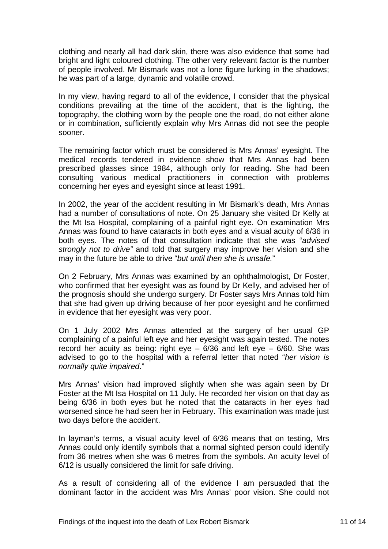clothing and nearly all had dark skin, there was also evidence that some had bright and light coloured clothing. The other very relevant factor is the number of people involved. Mr Bismark was not a lone figure lurking in the shadows; he was part of a large, dynamic and volatile crowd.

In my view, having regard to all of the evidence, I consider that the physical conditions prevailing at the time of the accident, that is the lighting, the topography, the clothing worn by the people one the road, do not either alone or in combination, sufficiently explain why Mrs Annas did not see the people sooner.

The remaining factor which must be considered is Mrs Annas' eyesight. The medical records tendered in evidence show that Mrs Annas had been prescribed glasses since 1984, although only for reading. She had been consulting various medical practitioners in connection with problems concerning her eyes and eyesight since at least 1991.

In 2002, the year of the accident resulting in Mr Bismark's death, Mrs Annas had a number of consultations of note. On 25 January she visited Dr Kelly at the Mt Isa Hospital, complaining of a painful right eye. On examination Mrs Annas was found to have cataracts in both eyes and a visual acuity of 6/36 in both eyes. The notes of that consultation indicate that she was "*advised strongly not to drive"* and told that surgery may improve her vision and she may in the future be able to drive "*but until then she is unsafe.*"

On 2 February, Mrs Annas was examined by an ophthalmologist, Dr Foster, who confirmed that her eyesight was as found by Dr Kelly, and advised her of the prognosis should she undergo surgery. Dr Foster says Mrs Annas told him that she had given up driving because of her poor eyesight and he confirmed in evidence that her eyesight was very poor.

On 1 July 2002 Mrs Annas attended at the surgery of her usual GP complaining of a painful left eye and her eyesight was again tested. The notes record her acuity as being: right eye –  $6/36$  and left eye –  $6/60$ . She was advised to go to the hospital with a referral letter that noted "*her vision is normally quite impaired*."

Mrs Annas' vision had improved slightly when she was again seen by Dr Foster at the Mt Isa Hospital on 11 July. He recorded her vision on that day as being 6/36 in both eyes but he noted that the cataracts in her eyes had worsened since he had seen her in February. This examination was made just two days before the accident.

In layman's terms, a visual acuity level of 6/36 means that on testing, Mrs Annas could only identify symbols that a normal sighted person could identify from 36 metres when she was 6 metres from the symbols. An acuity level of 6/12 is usually considered the limit for safe driving.

As a result of considering all of the evidence I am persuaded that the dominant factor in the accident was Mrs Annas' poor vision. She could not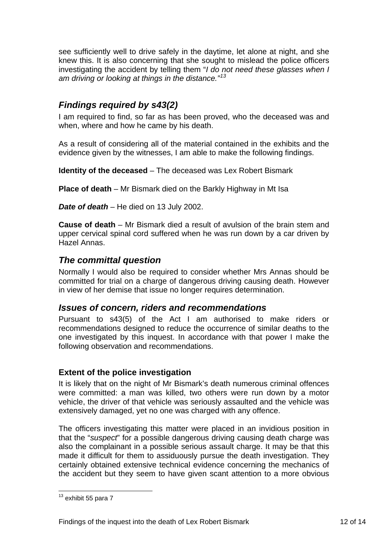<span id="page-13-0"></span>see sufficiently well to drive safely in the daytime, let alone at night, and she knew this. It is also concerning that she sought to mislead the police officers investigating the accident by telling them "*I do not need these glasses when I am driving or looking at things in the distance."[13](#page-13-1)*

## *Findings required by s43(2)*

I am required to find, so far as has been proved, who the deceased was and when, where and how he came by his death.

As a result of considering all of the material contained in the exhibits and the evidence given by the witnesses, I am able to make the following findings.

**Identity of the deceased** – The deceased was Lex Robert Bismark

**Place of death** – Mr Bismark died on the Barkly Highway in Mt Isa

*Date of death* – He died on 13 July 2002.

**Cause of death** – Mr Bismark died a result of avulsion of the brain stem and upper cervical spinal cord suffered when he was run down by a car driven by Hazel Annas.

## *The committal question*

Normally I would also be required to consider whether Mrs Annas should be committed for trial on a charge of dangerous driving causing death. However in view of her demise that issue no longer requires determination.

## *Issues of concern, riders and recommendations*

Pursuant to s43(5) of the Act I am authorised to make riders or recommendations designed to reduce the occurrence of similar deaths to the one investigated by this inquest. In accordance with that power I make the following observation and recommendations.

#### **Extent of the police investigation**

It is likely that on the night of Mr Bismark's death numerous criminal offences were committed: a man was killed, two others were run down by a motor vehicle, the driver of that vehicle was seriously assaulted and the vehicle was extensively damaged, yet no one was charged with any offence.

The officers investigating this matter were placed in an invidious position in that the "*suspect*" for a possible dangerous driving causing death charge was also the complainant in a possible serious assault charge. It may be that this made it difficult for them to assiduously pursue the death investigation. They certainly obtained extensive technical evidence concerning the mechanics of the accident but they seem to have given scant attention to a more obvious

<span id="page-13-1"></span> $13$  exhibit 55 para 7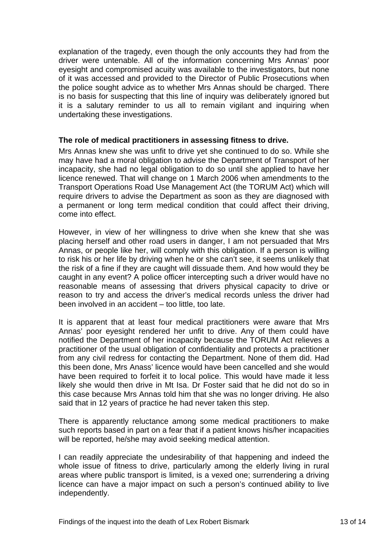<span id="page-14-0"></span>explanation of the tragedy, even though the only accounts they had from the driver were untenable. All of the information concerning Mrs Annas' poor eyesight and compromised acuity was available to the investigators, but none of it was accessed and provided to the Director of Public Prosecutions when the police sought advice as to whether Mrs Annas should be charged. There is no basis for suspecting that this line of inquiry was deliberately ignored but it is a salutary reminder to us all to remain vigilant and inquiring when undertaking these investigations.

#### **The role of medical practitioners in assessing fitness to drive.**

Mrs Annas knew she was unfit to drive yet she continued to do so. While she may have had a moral obligation to advise the Department of Transport of her incapacity, she had no legal obligation to do so until she applied to have her licence renewed. That will change on 1 March 2006 when amendments to the Transport Operations Road Use Management Act (the TORUM Act) which will require drivers to advise the Department as soon as they are diagnosed with a permanent or long term medical condition that could affect their driving, come into effect.

However, in view of her willingness to drive when she knew that she was placing herself and other road users in danger, I am not persuaded that Mrs Annas, or people like her, will comply with this obligation. If a person is willing to risk his or her life by driving when he or she can't see, it seems unlikely that the risk of a fine if they are caught will dissuade them. And how would they be caught in any event? A police officer intercepting such a driver would have no reasonable means of assessing that drivers physical capacity to drive or reason to try and access the driver's medical records unless the driver had been involved in an accident – too little, too late.

It is apparent that at least four medical practitioners were aware that Mrs Annas' poor eyesight rendered her unfit to drive. Any of them could have notified the Department of her incapacity because the TORUM Act relieves a practitioner of the usual obligation of confidentiality and protects a practitioner from any civil redress for contacting the Department. None of them did. Had this been done, Mrs Anass' licence would have been cancelled and she would have been required to forfeit it to local police. This would have made it less likely she would then drive in Mt Isa. Dr Foster said that he did not do so in this case because Mrs Annas told him that she was no longer driving. He also said that in 12 years of practice he had never taken this step.

There is apparently reluctance among some medical practitioners to make such reports based in part on a fear that if a patient knows his/her incapacities will be reported, he/she may avoid seeking medical attention.

I can readily appreciate the undesirability of that happening and indeed the whole issue of fitness to drive, particularly among the elderly living in rural areas where public transport is limited, is a vexed one; surrendering a driving licence can have a major impact on such a person's continued ability to live independently.